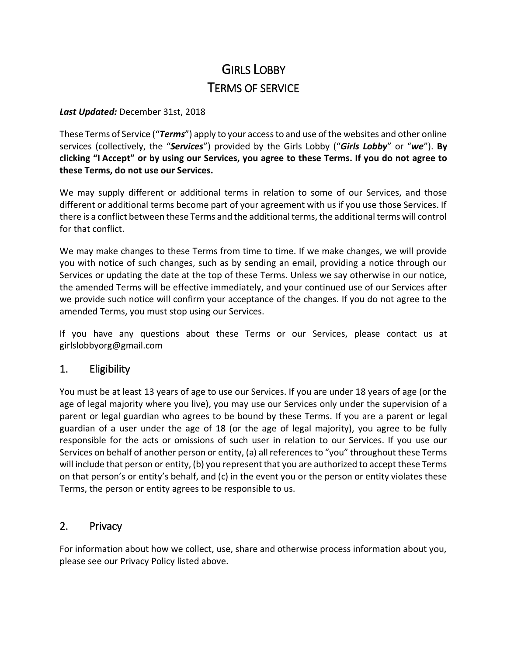# GIRLS LOBBY TERMS OF SERVICE

#### *Last Updated:* December 31st, 2018

These Terms of Service ("*Terms*") apply to your access to and use of the websites and other online services (collectively, the "*Services*") provided by the Girls Lobby ("*Girls Lobby*" or "*we*"). **By clicking "I Accept" or by using our Services, you agree to these Terms. If you do not agree to these Terms, do not use our Services.**

We may supply different or additional terms in relation to some of our Services, and those different or additional terms become part of your agreement with us if you use those Services. If there is a conflict between these Terms and the additional terms, the additional terms will control for that conflict.

We may make changes to these Terms from time to time. If we make changes, we will provide you with notice of such changes, such as by sending an email, providing a notice through our Services or updating the date at the top of these Terms. Unless we say otherwise in our notice, the amended Terms will be effective immediately, and your continued use of our Services after we provide such notice will confirm your acceptance of the changes. If you do not agree to the amended Terms, you must stop using our Services.

If you have any questions about these Terms or our Services, please contact us at girlslobbyorg@gmail.com

#### 1. Eligibility

You must be at least 13 years of age to use our Services. If you are under 18 years of age (or the age of legal majority where you live), you may use our Services only under the supervision of a parent or legal guardian who agrees to be bound by these Terms. If you are a parent or legal guardian of a user under the age of 18 (or the age of legal majority), you agree to be fully responsible for the acts or omissions of such user in relation to our Services. If you use our Services on behalf of another person or entity, (a) all references to "you" throughout these Terms will include that person or entity, (b) you represent that you are authorized to accept these Terms on that person's or entity's behalf, and (c) in the event you or the person or entity violates these Terms, the person or entity agrees to be responsible to us.

#### 2. Privacy

For information about how we collect, use, share and otherwise process information about you, please see our Privacy Policy listed above.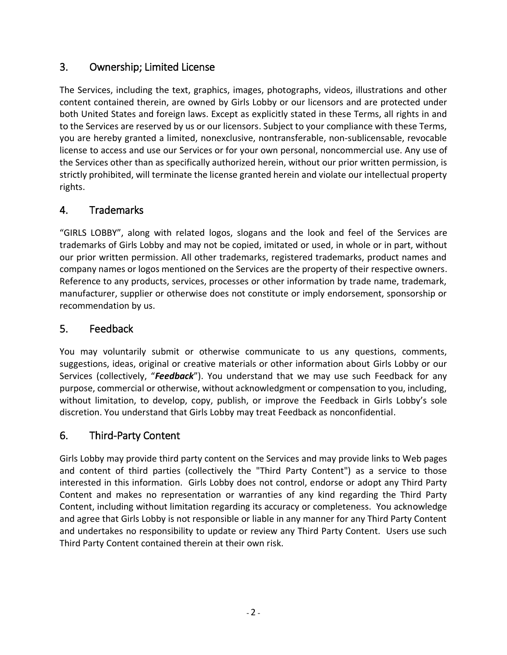#### 3. Ownership; Limited License

The Services, including the text, graphics, images, photographs, videos, illustrations and other content contained therein, are owned by Girls Lobby or our licensors and are protected under both United States and foreign laws. Except as explicitly stated in these Terms, all rights in and to the Services are reserved by us or our licensors. Subject to your compliance with these Terms, you are hereby granted a limited, nonexclusive, nontransferable, non-sublicensable, revocable license to access and use our Services or for your own personal, noncommercial use. Any use of the Services other than as specifically authorized herein, without our prior written permission, is strictly prohibited, will terminate the license granted herein and violate our intellectual property rights.

### 4. Trademarks

"GIRLS LOBBY", along with related logos, slogans and the look and feel of the Services are trademarks of Girls Lobby and may not be copied, imitated or used, in whole or in part, without our prior written permission. All other trademarks, registered trademarks, product names and company names or logos mentioned on the Services are the property of their respective owners. Reference to any products, services, processes or other information by trade name, trademark, manufacturer, supplier or otherwise does not constitute or imply endorsement, sponsorship or recommendation by us.

#### 5. Feedback

You may voluntarily submit or otherwise communicate to us any questions, comments, suggestions, ideas, original or creative materials or other information about Girls Lobby or our Services (collectively, "*Feedback*"). You understand that we may use such Feedback for any purpose, commercial or otherwise, without acknowledgment or compensation to you, including, without limitation, to develop, copy, publish, or improve the Feedback in Girls Lobby's sole discretion. You understand that Girls Lobby may treat Feedback as nonconfidential.

#### 6. Third-Party Content

Girls Lobby may provide third party content on the Services and may provide links to Web pages and content of third parties (collectively the "Third Party Content") as a service to those interested in this information. Girls Lobby does not control, endorse or adopt any Third Party Content and makes no representation or warranties of any kind regarding the Third Party Content, including without limitation regarding its accuracy or completeness. You acknowledge and agree that Girls Lobby is not responsible or liable in any manner for any Third Party Content and undertakes no responsibility to update or review any Third Party Content. Users use such Third Party Content contained therein at their own risk.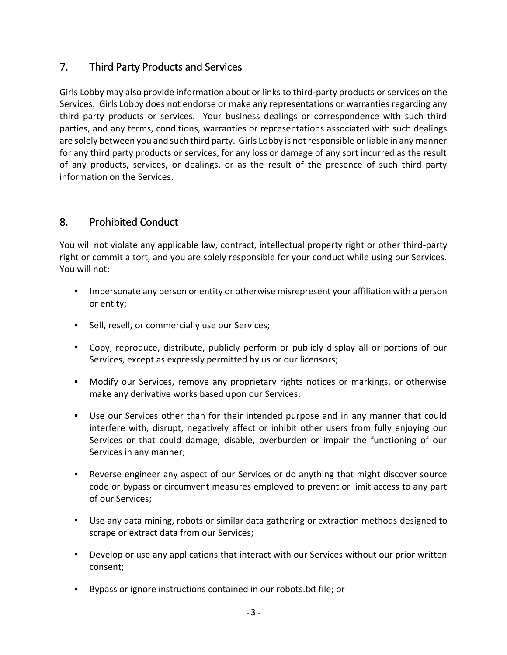#### 7. Third Party Products and Services

Girls Lobby may also provide information about or links to third-party products or services on the Services. Girls Lobby does not endorse or make any representations or warranties regarding any third party products or services. Your business dealings or correspondence with such third parties, and any terms, conditions, warranties or representations associated with such dealings are solely between you and such third party. Girls Lobby is not responsible or liable in any manner for any third party products or services, for any loss or damage of any sort incurred as the result of any products, services, or dealings, or as the result of the presence of such third party information on the Services.

#### 8. Prohibited Conduct

You will not violate any applicable law, contract, intellectual property right or other third-party right or commit a tort, and you are solely responsible for your conduct while using our Services. You will not:

- Impersonate any person or entity or otherwise misrepresent your affiliation with a person or entity;
- Sell, resell, or commercially use our Services;
- Copy, reproduce, distribute, publicly perform or publicly display all or portions of our Services, except as expressly permitted by us or our licensors;
- Modify our Services, remove any proprietary rights notices or markings, or otherwise make any derivative works based upon our Services;
- Use our Services other than for their intended purpose and in any manner that could interfere with, disrupt, negatively affect or inhibit other users from fully enjoying our Services or that could damage, disable, overburden or impair the functioning of our Services in any manner;
- **•** Reverse engineer any aspect of our Services or do anything that might discover source code or bypass or circumvent measures employed to prevent or limit access to any part of our Services;
- Use any data mining, robots or similar data gathering or extraction methods designed to scrape or extract data from our Services;
- Develop or use any applications that interact with our Services without our prior written consent;
- Bypass or ignore instructions contained in our robots.txt file; or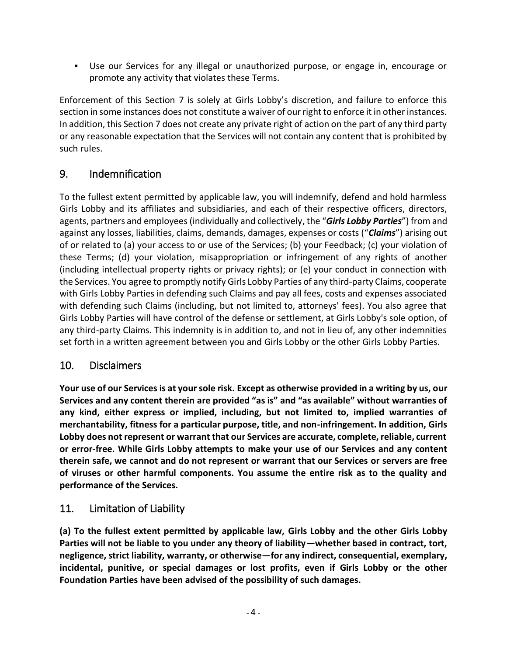▪ Use our Services for any illegal or unauthorized purpose, or engage in, encourage or promote any activity that violates these Terms.

Enforcement of this Section 7 is solely at Girls Lobby's discretion, and failure to enforce this section in some instances does not constitute a waiver of our right to enforce it in other instances. In addition, this Section 7 does not create any private right of action on the part of any third party or any reasonable expectation that the Services will not contain any content that is prohibited by such rules.

### 9. Indemnification

To the fullest extent permitted by applicable law, you will indemnify, defend and hold harmless Girls Lobby and its affiliates and subsidiaries, and each of their respective officers, directors, agents, partners and employees (individually and collectively, the "*Girls Lobby Parties*") from and against any losses, liabilities, claims, demands, damages, expenses or costs ("*Claims*") arising out of or related to (a) your access to or use of the Services; (b) your Feedback; (c) your violation of these Terms; (d) your violation, misappropriation or infringement of any rights of another (including intellectual property rights or privacy rights); or (e) your conduct in connection with the Services. You agree to promptly notify Girls Lobby Parties of any third-party Claims, cooperate with Girls Lobby Parties in defending such Claims and pay all fees, costs and expenses associated with defending such Claims (including, but not limited to, attorneys' fees). You also agree that Girls Lobby Parties will have control of the defense or settlement, at Girls Lobby's sole option, of any third-party Claims. This indemnity is in addition to, and not in lieu of, any other indemnities set forth in a written agreement between you and Girls Lobby or the other Girls Lobby Parties.

#### 10. Disclaimers

**Your use of our Services is at your sole risk. Except as otherwise provided in a writing by us, our Services and any content therein are provided "as is" and "as available" without warranties of any kind, either express or implied, including, but not limited to, implied warranties of merchantability, fitness for a particular purpose, title, and non-infringement. In addition, Girls Lobby does not represent or warrant that our Services are accurate, complete, reliable, current or error-free. While Girls Lobby attempts to make your use of our Services and any content therein safe, we cannot and do not represent or warrant that our Services or servers are free of viruses or other harmful components. You assume the entire risk as to the quality and performance of the Services.**

#### 11. Limitation of Liability

**(a) To the fullest extent permitted by applicable law, Girls Lobby and the other Girls Lobby Parties will not be liable to you under any theory of liability—whether based in contract, tort, negligence, strict liability, warranty, or otherwise—for any indirect, consequential, exemplary, incidental, punitive, or special damages or lost profits, even if Girls Lobby or the other Foundation Parties have been advised of the possibility of such damages.**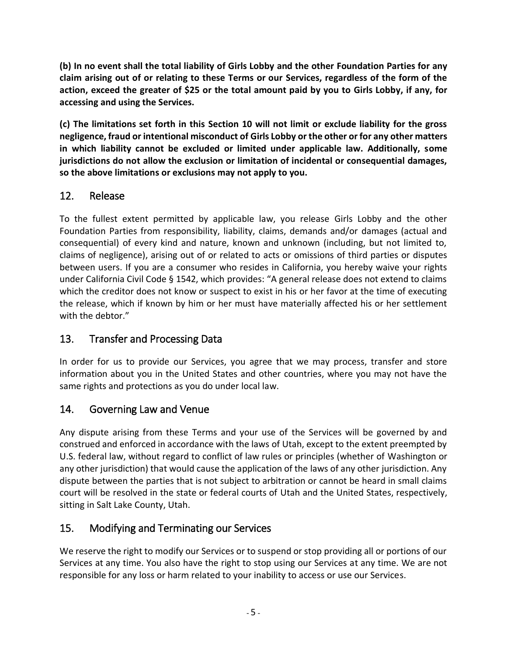**(b) In no event shall the total liability of Girls Lobby and the other Foundation Parties for any claim arising out of or relating to these Terms or our Services, regardless of the form of the action, exceed the greater of \$25 or the total amount paid by you to Girls Lobby, if any, for accessing and using the Services.**

**(c) The limitations set forth in this Section 10 will not limit or exclude liability for the gross negligence, fraud or intentional misconduct of Girls Lobby or the other or for any other matters in which liability cannot be excluded or limited under applicable law. Additionally, some jurisdictions do not allow the exclusion or limitation of incidental or consequential damages, so the above limitations or exclusions may not apply to you.**

### 12. Release

To the fullest extent permitted by applicable law, you release Girls Lobby and the other Foundation Parties from responsibility, liability, claims, demands and/or damages (actual and consequential) of every kind and nature, known and unknown (including, but not limited to, claims of negligence), arising out of or related to acts or omissions of third parties or disputes between users. If you are a consumer who resides in California, you hereby waive your rights under California Civil Code § 1542, which provides: "A general release does not extend to claims which the creditor does not know or suspect to exist in his or her favor at the time of executing the release, which if known by him or her must have materially affected his or her settlement with the debtor."

# 13. Transfer and Processing Data

In order for us to provide our Services, you agree that we may process, transfer and store information about you in the United States and other countries, where you may not have the same rights and protections as you do under local law.

# 14. Governing Law and Venue

Any dispute arising from these Terms and your use of the Services will be governed by and construed and enforced in accordance with the laws of Utah, except to the extent preempted by U.S. federal law, without regard to conflict of law rules or principles (whether of Washington or any other jurisdiction) that would cause the application of the laws of any other jurisdiction. Any dispute between the parties that is not subject to arbitration or cannot be heard in small claims court will be resolved in the state or federal courts of Utah and the United States, respectively, sitting in Salt Lake County, Utah.

# 15. Modifying and Terminating our Services

We reserve the right to modify our Services or to suspend or stop providing all or portions of our Services at any time. You also have the right to stop using our Services at any time. We are not responsible for any loss or harm related to your inability to access or use our Services.